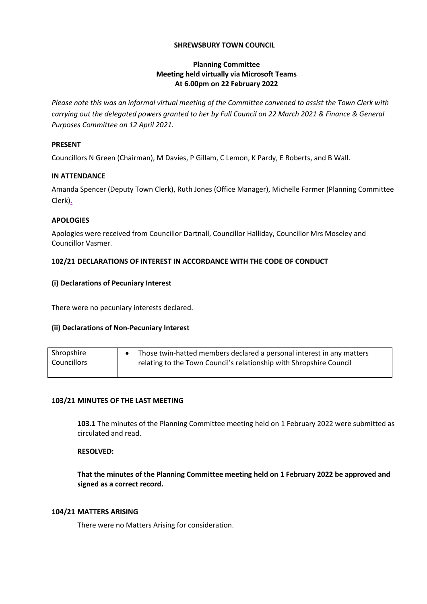## **SHREWSBURY TOWN COUNCIL**

## **Planning Committee Meeting held virtually via Microsoft Teams At 6.00pm on 22 February 2022**

*Please note this was an informal virtual meeting of the Committee convened to assist the Town Clerk with carrying out the delegated powers granted to her by Full Council on 22 March 2021 & Finance & General Purposes Committee on 12 April 2021.*

## **PRESENT**

Councillors N Green (Chairman), M Davies, P Gillam, C Lemon, K Pardy, E Roberts, and B Wall.

## **IN ATTENDANCE**

Amanda Spencer (Deputy Town Clerk), Ruth Jones (Office Manager), Michelle Farmer (Planning Committee Clerk).

## **APOLOGIES**

Apologies were received from Councillor Dartnall, Councillor Halliday, Councillor Mrs Moseley and Councillor Vasmer.

# **102/21 DECLARATIONS OF INTEREST IN ACCORDANCE WITH THE CODE OF CONDUCT**

## **(i) Declarations of Pecuniary Interest**

There were no pecuniary interests declared.

# **(ii) Declarations of Non-Pecuniary Interest**

| Shropshire  | Those twin-hatted members declared a personal interest in any matters |
|-------------|-----------------------------------------------------------------------|
| Councillors | relating to the Town Council's relationship with Shropshire Council   |
|             |                                                                       |

#### **103/21 MINUTES OF THE LAST MEETING**

**103.1** The minutes of the Planning Committee meeting held on 1 February 2022 were submitted as circulated and read.

## **RESOLVED:**

**That the minutes of the Planning Committee meeting held on 1 February 2022 be approved and signed as a correct record.**

#### **104/21 MATTERS ARISING**

There were no Matters Arising for consideration.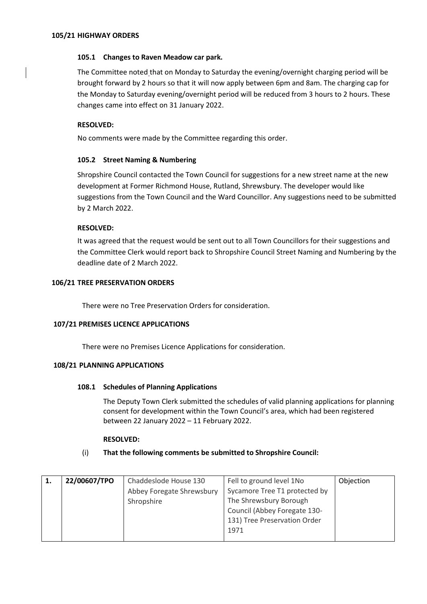## **105.1 Changes to Raven Meadow car park.**

The Committee noted that on Monday to Saturday the evening/overnight charging period will be brought forward by 2 hours so that it will now apply between 6pm and 8am. The charging cap for the Monday to Saturday evening/overnight period will be reduced from 3 hours to 2 hours. These changes came into effect on 31 January 2022.

## **RESOLVED:**

No comments were made by the Committee regarding this order.

## **105.2 Street Naming & Numbering**

Shropshire Council contacted the Town Council for suggestions for a new street name at the new development at Former Richmond House, Rutland, Shrewsbury. The developer would like suggestions from the Town Council and the Ward Councillor. Any suggestions need to be submitted by 2 March 2022.

## **RESOLVED:**

It was agreed that the request would be sent out to all Town Councillors for their suggestions and the Committee Clerk would report back to Shropshire Council Street Naming and Numbering by the deadline date of 2 March 2022.

#### **106/21 TREE PRESERVATION ORDERS**

There were no Tree Preservation Orders for consideration.

#### **107/21 PREMISES LICENCE APPLICATIONS**

There were no Premises Licence Applications for consideration.

#### **108/21 PLANNING APPLICATIONS**

#### **108.1 Schedules of Planning Applications**

The Deputy Town Clerk submitted the schedules of valid planning applications for planning consent for development within the Town Council's area, which had been registered between 22 January 2022 – 11 February 2022.

#### **RESOLVED:**

#### (i) **That the following comments be submitted to Shropshire Council:**

| 1. | 22/00607/TPO | Chaddeslode House 130     | Fell to ground level 1No      | Objection |
|----|--------------|---------------------------|-------------------------------|-----------|
|    |              | Abbey Foregate Shrewsbury | Sycamore Tree T1 protected by |           |
|    |              | Shropshire                | The Shrewsbury Borough        |           |
|    |              |                           | Council (Abbey Foregate 130-  |           |
|    |              |                           | 131) Tree Preservation Order  |           |
|    |              |                           | 1971                          |           |
|    |              |                           |                               |           |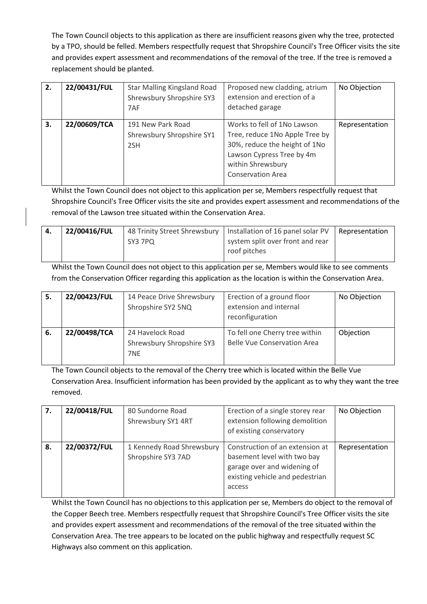The Town Council objects to this application as there are insufficient reasons given why the tree, protected by a TPO, should be felled. Members respectfully request that Shropshire Council's Tree Officer visits the site and provides expert assessment and recommendations of the removal of the tree. If the tree is removed a replacement should be planted.

| 2. | 22/00431/FUL | <b>Star Malling Kingsland Road</b><br>Shrewsbury Shropshire SY3<br>7AF | Proposed new cladding, atrium<br>extension and erection of a<br>detached garage                                                                                              | No Objection   |
|----|--------------|------------------------------------------------------------------------|------------------------------------------------------------------------------------------------------------------------------------------------------------------------------|----------------|
| 3. | 22/00609/TCA | 191 New Park Road<br>Shrewsbury Shropshire SY1<br>2SH                  | Works to fell of 1No Lawson<br>Tree, reduce 1No Apple Tree by<br>30%, reduce the height of 1No<br>Lawson Cypress Tree by 4m<br>within Shrewsbury<br><b>Conservation Area</b> | Representation |

Whilst the Town Council does not object to this application per se, Members respectfully request that Shropshire Council's Tree Officer visits the site and provides expert assessment and recommendations of the removal of the Lawson tree situated within the Conservation Area.

| -4. | 22/00416/FUL |         | 48 Trinity Street Shrewsbury   Installation of 16 panel solar PV   Representation |  |
|-----|--------------|---------|-----------------------------------------------------------------------------------|--|
|     |              | SY3 7PO | system split over front and rear                                                  |  |
|     |              |         | roof pitches                                                                      |  |

Whilst the Town Council does not object to this application per se, Members would like to see comments from the Conservation Officer regarding this application as the location is within the Conservation Area.

| 5. | 22/00423/FUL | 14 Peace Drive Shrewsbury<br>Shropshire SY2 5NQ      | Erection of a ground floor<br>extension and internal<br>reconfiguration | No Objection |
|----|--------------|------------------------------------------------------|-------------------------------------------------------------------------|--------------|
| 6. | 22/00498/TCA | 24 Havelock Road<br>Shrewsbury Shropshire SY3<br>7NE | To fell one Cherry tree within<br><b>Belle Vue Conservation Area</b>    | Objection    |

The Town Council objects to the removal of the Cherry tree which is located within the Belle Vue Conservation Area. Insufficient information has been provided by the applicant as to why they want the tree removed.

| 7. | 22/00418/FUL | 80 Sundorne Road          | Erection of a single storey rear | No Objection   |
|----|--------------|---------------------------|----------------------------------|----------------|
|    |              | Shrewsbury SY1 4RT        | extension following demolition   |                |
|    |              |                           | of existing conservatory         |                |
| 8. | 22/00372/FUL | 1 Kennedy Road Shrewsbury | Construction of an extension at  | Representation |
|    |              |                           |                                  |                |
|    |              | Shropshire SY3 7AD        | basement level with two bay      |                |
|    |              |                           | garage over and widening of      |                |
|    |              |                           | existing vehicle and pedestrian  |                |
|    |              |                           | access                           |                |
|    |              |                           |                                  |                |

Whilst the Town Council has no objections to this application per se, Members do object to the removal of the Copper Beech tree. Members respectfully request that Shropshire Council's Tree Officer visits the site and provides expert assessment and recommendations of the removal of the tree situated within the Conservation Area. The tree appears to be located on the public highway and respectfully request SC Highways also comment on this application.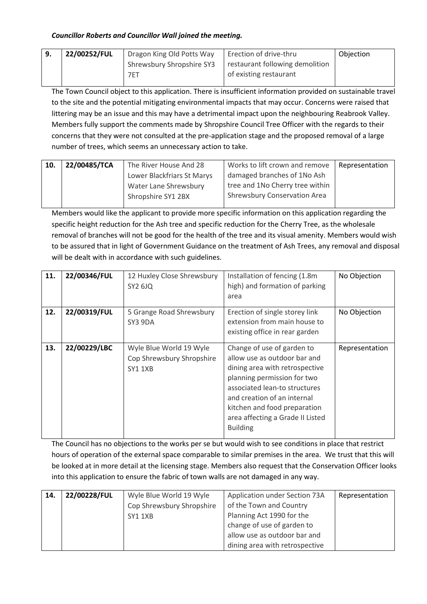# *Councillor Roberts and Councillor Wall joined the meeting.*

| 22/00252/FUL | Dragon King Old Potts Way | Erection of drive-thru          | Objection |
|--------------|---------------------------|---------------------------------|-----------|
|              | Shrewsbury Shropshire SY3 | restaurant following demolition |           |
|              | 7ET                       | of existing restaurant          |           |

The Town Council object to this application. There is insufficient information provided on sustainable travel to the site and the potential mitigating environmental impacts that may occur. Concerns were raised that littering may be an issue and this may have a detrimental impact upon the neighbouring Reabrook Valley. Members fully support the comments made by Shropshire Council Tree Officer with the regards to their concerns that they were not consulted at the pre-application stage and the proposed removal of a large number of trees, which seems an unnecessary action to take.

| 10. | 22/00485/TCA | The River House And 28     | Works to lift crown and remove      | <b>Representation</b> |
|-----|--------------|----------------------------|-------------------------------------|-----------------------|
|     |              | Lower Blackfriars St Marys | damaged branches of 1No Ash         |                       |
|     |              | Water Lane Shrewsbury      | tree and 1No Cherry tree within     |                       |
|     |              | Shropshire SY1 2BX         | <b>Shrewsbury Conservation Area</b> |                       |
|     |              |                            |                                     |                       |

Members would like the applicant to provide more specific information on this application regarding the specific height reduction for the Ash tree and specific reduction for the Cherry Tree, as the wholesale removal of branches will not be good for the health of the tree and its visual amenity. Members would wish to be assured that in light of Government Guidance on the treatment of Ash Trees, any removal and disposal will be dealt with in accordance with such guidelines.

| 11. | 22/00346/FUL | 12 Huxley Close Shrewsbury<br>SY2 6JQ                                  | Installation of fencing (1.8m)<br>high) and formation of parking<br>area                                                                                                                                                                                                           | No Objection   |
|-----|--------------|------------------------------------------------------------------------|------------------------------------------------------------------------------------------------------------------------------------------------------------------------------------------------------------------------------------------------------------------------------------|----------------|
| 12. | 22/00319/FUL | 5 Grange Road Shrewsbury<br>SY3 9DA                                    | Erection of single storey link<br>extension from main house to<br>existing office in rear garden                                                                                                                                                                                   | No Objection   |
| 13. | 22/00229/LBC | Wyle Blue World 19 Wyle<br>Cop Shrewsbury Shropshire<br><b>SY1 1XB</b> | Change of use of garden to<br>allow use as outdoor bar and<br>dining area with retrospective<br>planning permission for two<br>associated lean-to structures<br>and creation of an internal<br>kitchen and food preparation<br>area affecting a Grade II Listed<br><b>Building</b> | Representation |

The Council has no objections to the works per se but would wish to see conditions in place that restrict hours of operation of the external space comparable to similar premises in the area. We trust that this will be looked at in more detail at the licensing stage. Members also request that the Conservation Officer looks into this application to ensure the fabric of town walls are not damaged in any way.

| 14. | 22/00228/FUL | Wyle Blue World 19 Wyle   | Application under Section 73A  | Representation |
|-----|--------------|---------------------------|--------------------------------|----------------|
|     |              | Cop Shrewsbury Shropshire | of the Town and Country        |                |
|     |              | SY1 1XB                   | Planning Act 1990 for the      |                |
|     |              |                           | change of use of garden to     |                |
|     |              |                           | allow use as outdoor bar and   |                |
|     |              |                           | dining area with retrospective |                |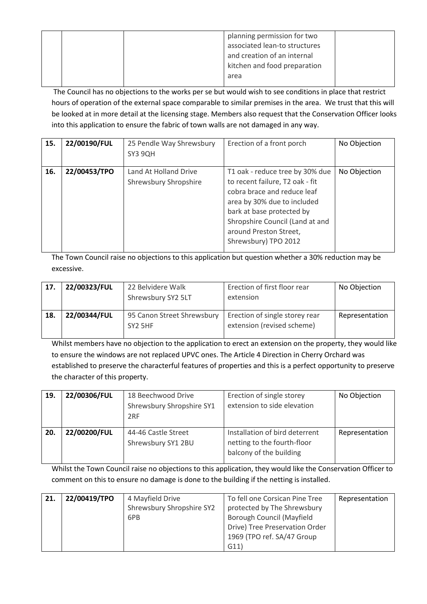| planning permission for two<br>associated lean-to structures |
|--------------------------------------------------------------|
| and creation of an internal                                  |
| kitchen and food preparation                                 |
| area                                                         |

The Council has no objections to the works per se but would wish to see conditions in place that restrict hours of operation of the external space comparable to similar premises in the area. We trust that this will be looked at in more detail at the licensing stage. Members also request that the Conservation Officer looks into this application to ensure the fabric of town walls are not damaged in any way.

| 15. | 22/00190/FUL | 25 Pendle Way Shrewsbury<br>SY3 9QH                   | Erection of a front porch                                                                                                                                                                                                                          | No Objection |
|-----|--------------|-------------------------------------------------------|----------------------------------------------------------------------------------------------------------------------------------------------------------------------------------------------------------------------------------------------------|--------------|
| 16. | 22/00453/TPO | Land At Holland Drive<br><b>Shrewsbury Shropshire</b> | T1 oak - reduce tree by 30% due<br>to recent failure, T2 oak - fit<br>cobra brace and reduce leaf<br>area by 30% due to included<br>bark at base protected by<br>Shropshire Council (Land at and<br>around Preston Street,<br>Shrewsbury) TPO 2012 | No Objection |

The Town Council raise no objections to this application but question whether a 30% reduction may be excessive.

| 17. | 22/00323/FUL | 22 Belvidere Walk<br>Shrewsbury SY2 5LT           | Erection of first floor rear<br>extension                    | No Objection   |
|-----|--------------|---------------------------------------------------|--------------------------------------------------------------|----------------|
| 18. | 22/00344/FUL | 95 Canon Street Shrewsbury<br>SY <sub>2</sub> 5HF | Erection of single storey rear<br>extension (revised scheme) | Representation |

Whilst members have no objection to the application to erect an extension on the property, they would like to ensure the windows are not replaced UPVC ones. The Article 4 Direction in Cherry Orchard was established to preserve the characterful features of properties and this is a perfect opportunity to preserve the character of this property.

| 19. | 22/00306/FUL | 18 Beechwood Drive<br>Shrewsbury Shropshire SY1<br>2RF | Erection of single storey<br>extension to side elevation                                 | No Objection   |
|-----|--------------|--------------------------------------------------------|------------------------------------------------------------------------------------------|----------------|
| 20. | 22/00200/FUL | 44-46 Castle Street<br>Shrewsbury SY1 2BU              | Installation of bird deterrent<br>netting to the fourth-floor<br>balcony of the building | Representation |

Whilst the Town Council raise no objections to this application, they would like the Conservation Officer to comment on this to ensure no damage is done to the building if the netting is installed.

| 21. | 22/00419/TPO | 4 Mayfield Drive          | To fell one Corsican Pine Tree | Representation |
|-----|--------------|---------------------------|--------------------------------|----------------|
|     |              | Shrewsbury Shropshire SY2 | protected by The Shrewsbury    |                |
|     |              | 6PB                       | Borough Council (Mayfield      |                |
|     |              |                           | Drive) Tree Preservation Order |                |
|     |              |                           | 1969 (TPO ref. SA/47 Group     |                |
|     |              |                           | G11)                           |                |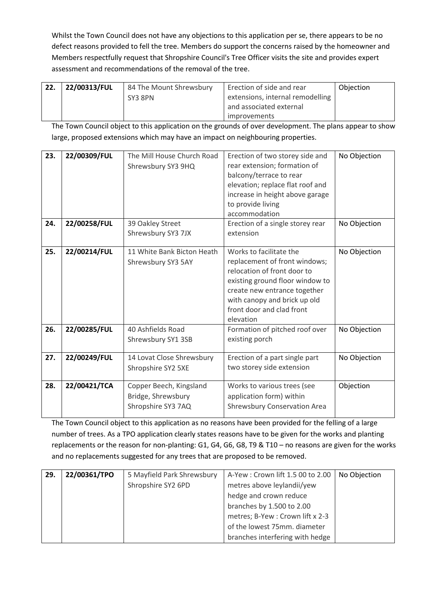Whilst the Town Council does not have any objections to this application per se, there appears to be no defect reasons provided to fell the tree. Members do support the concerns raised by the homeowner and Members respectfully request that Shropshire Council's Tree Officer visits the site and provides expert assessment and recommendations of the removal of the tree.

| 22. | 22/00313/FUL | 84 The Mount Shrewsbury | Erection of side and rear        | Obiection |
|-----|--------------|-------------------------|----------------------------------|-----------|
|     |              | SY3 8PN                 | extensions, internal remodelling |           |
|     |              |                         | and associated external          |           |
|     |              |                         | <i>improvements</i>              |           |

The Town Council object to this application on the grounds of over development. The plans appear to show large, proposed extensions which may have an impact on neighbouring properties.

| 23. | 22/00309/FUL | The Mill House Church Road<br>Shrewsbury SY3 9HQ                    | Erection of two storey side and<br>rear extension; formation of<br>balcony/terrace to rear<br>elevation; replace flat roof and<br>increase in height above garage<br>to provide living<br>accommodation                              | No Objection |
|-----|--------------|---------------------------------------------------------------------|--------------------------------------------------------------------------------------------------------------------------------------------------------------------------------------------------------------------------------------|--------------|
| 24. | 22/00258/FUL | 39 Oakley Street<br>Shrewsbury SY3 7JX                              | Erection of a single storey rear<br>extension                                                                                                                                                                                        | No Objection |
| 25. | 22/00214/FUL | 11 White Bank Bicton Heath<br>Shrewsbury SY3 5AY                    | Works to facilitate the<br>replacement of front windows;<br>relocation of front door to<br>existing ground floor window to<br>create new entrance together<br>with canopy and brick up old<br>front door and clad front<br>elevation | No Objection |
| 26. | 22/00285/FUL | 40 Ashfields Road<br>Shrewsbury SY1 3SB                             | Formation of pitched roof over<br>existing porch                                                                                                                                                                                     | No Objection |
| 27. | 22/00249/FUL | 14 Lovat Close Shrewsbury<br>Shropshire SY2 5XE                     | Erection of a part single part<br>two storey side extension                                                                                                                                                                          | No Objection |
| 28. | 22/00421/TCA | Copper Beech, Kingsland<br>Bridge, Shrewsbury<br>Shropshire SY3 7AQ | Works to various trees (see<br>application form) within<br><b>Shrewsbury Conservation Area</b>                                                                                                                                       | Objection    |

The Town Council object to this application as no reasons have been provided for the felling of a large number of trees. As a TPO application clearly states reasons have to be given for the works and planting replacements or the reason for non-planting: G1, G4, G6, G8, T9 & T10 – no reasons are given for the works and no replacements suggested for any trees that are proposed to be removed.

| 29. | 22/00361/TPO | 5 Mayfield Park Shrewsbury | A-Yew: Crown lift 1.5 00 to 2.00 | No Objection |
|-----|--------------|----------------------------|----------------------------------|--------------|
|     |              | Shropshire SY2 6PD         | metres above leylandii/yew       |              |
|     |              |                            | hedge and crown reduce           |              |
|     |              |                            | branches by 1.500 to 2.00        |              |
|     |              |                            | metres; B-Yew : Crown lift x 2-3 |              |
|     |              |                            | of the lowest 75mm. diameter     |              |
|     |              |                            | branches interfering with hedge  |              |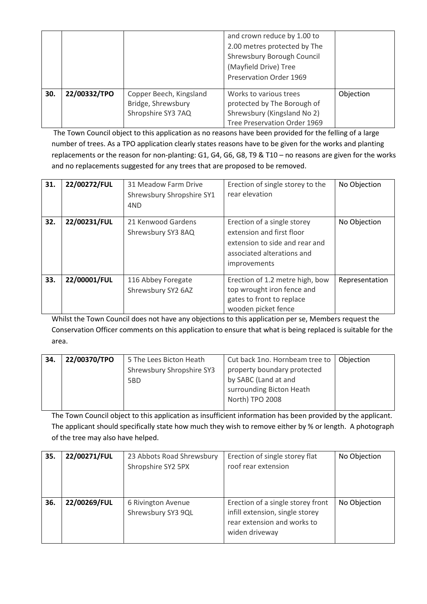|     |              |                                                                     | and crown reduce by 1.00 to<br>2.00 metres protected by The<br>Shrewsbury Borough Council<br>(Mayfield Drive) Tree<br>Preservation Order 1969 |           |
|-----|--------------|---------------------------------------------------------------------|-----------------------------------------------------------------------------------------------------------------------------------------------|-----------|
| 30. | 22/00332/TPO | Copper Beech, Kingsland<br>Bridge, Shrewsbury<br>Shropshire SY3 7AQ | Works to various trees<br>protected by The Borough of<br>Shrewsbury (Kingsland No 2)<br>Tree Preservation Order 1969                          | Objection |

The Town Council object to this application as no reasons have been provided for the felling of a large number of trees. As a TPO application clearly states reasons have to be given for the works and planting replacements or the reason for non-planting: G1, G4, G6, G8, T9 & T10 – no reasons are given for the works and no replacements suggested for any trees that are proposed to be removed.

| 31. | 22/00272/FUL | 31 Meadow Farm Drive<br>Shrewsbury Shropshire SY1<br>4ND | Erection of single storey to the<br>rear elevation                                                                                       | No Objection   |
|-----|--------------|----------------------------------------------------------|------------------------------------------------------------------------------------------------------------------------------------------|----------------|
| 32. | 22/00231/FUL | 21 Kenwood Gardens<br>Shrewsbury SY3 8AQ                 | Erection of a single storey<br>extension and first floor<br>extension to side and rear and<br>associated alterations and<br>improvements | No Objection   |
| 33. | 22/00001/FUL | 116 Abbey Foregate<br>Shrewsbury SY2 6AZ                 | Erection of 1.2 metre high, bow<br>top wrought iron fence and<br>gates to front to replace<br>wooden picket fence                        | Representation |

Whilst the Town Council does not have any objections to this application per se, Members request the Conservation Officer comments on this application to ensure that what is being replaced is suitable for the area.

| 34. | 22/00370/TPO | 5 The Lees Bicton Heath   | Cut back 1no. Hornbeam tree to   Objection |  |
|-----|--------------|---------------------------|--------------------------------------------|--|
|     |              | Shrewsbury Shropshire SY3 | property boundary protected                |  |
|     |              | 5BD                       | by SABC (Land at and                       |  |
|     |              |                           | surrounding Bicton Heath                   |  |
|     |              |                           | North) TPO 2008                            |  |
|     |              |                           |                                            |  |

The Town Council object to this application as insufficient information has been provided by the applicant. The applicant should specifically state how much they wish to remove either by % or length. A photograph of the tree may also have helped.

| 35. | 22/00271/FUL | 23 Abbots Road Shrewsbury<br>Shropshire SY2 5PX | Erection of single storey flat<br>roof rear extension                                                                 | No Objection |
|-----|--------------|-------------------------------------------------|-----------------------------------------------------------------------------------------------------------------------|--------------|
| 36. | 22/00269/FUL | 6 Rivington Avenue<br>Shrewsbury SY3 9QL        | Erection of a single storey front<br>infill extension, single storey<br>rear extension and works to<br>widen driveway | No Objection |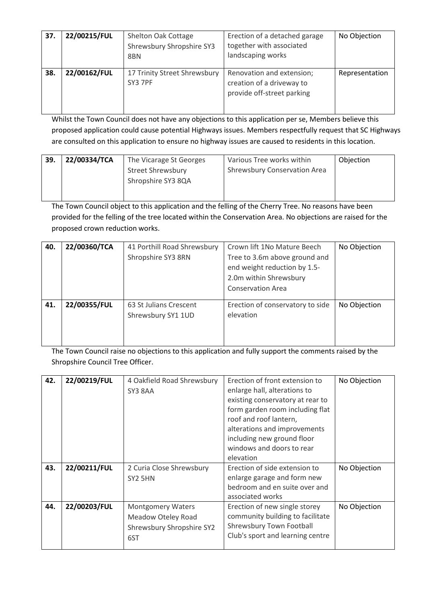| 37. | 22/00215/FUL | Shelton Oak Cottage<br>Shrewsbury Shropshire SY3<br>8BN | Erection of a detached garage<br>together with associated<br>landscaping works       | No Objection   |
|-----|--------------|---------------------------------------------------------|--------------------------------------------------------------------------------------|----------------|
| 38. | 22/00162/FUL | 17 Trinity Street Shrewsbury<br>SY3 7PF                 | Renovation and extension;<br>creation of a driveway to<br>provide off-street parking | Representation |

Whilst the Town Council does not have any objections to this application per se, Members believe this proposed application could cause potential Highways issues. Members respectfully request that SC Highways are consulted on this application to ensure no highway issues are caused to residents in this location.

| 39. | 22/00334/TCA | The Vicarage St Georges<br><b>Street Shrewsbury</b> | Various Tree works within<br><b>Shrewsbury Conservation Area</b> | Objection |
|-----|--------------|-----------------------------------------------------|------------------------------------------------------------------|-----------|
|     |              | Shropshire SY3 8QA                                  |                                                                  |           |

The Town Council object to this application and the felling of the Cherry Tree. No reasons have been provided for the felling of the tree located within the Conservation Area. No objections are raised for the proposed crown reduction works.

| 40. | 22/00360/TCA | 41 Porthill Road Shrewsbury<br>Shropshire SY3 8RN | Crown lift 1No Mature Beech<br>Tree to 3.6m above ground and<br>end weight reduction by 1.5-<br>2.0m within Shrewsbury<br><b>Conservation Area</b> | No Objection |
|-----|--------------|---------------------------------------------------|----------------------------------------------------------------------------------------------------------------------------------------------------|--------------|
| 41. | 22/00355/FUL | 63 St Julians Crescent<br>Shrewsbury SY1 1UD      | Erection of conservatory to side<br>elevation                                                                                                      | No Objection |

The Town Council raise no objections to this application and fully support the comments raised by the Shropshire Council Tree Officer.

| 42. | 22/00219/FUL | 4 Oakfield Road Shrewsbury | Erection of front extension to   | No Objection |
|-----|--------------|----------------------------|----------------------------------|--------------|
|     |              | SY3 8AA                    | enlarge hall, alterations to     |              |
|     |              |                            | existing conservatory at rear to |              |
|     |              |                            | form garden room including flat  |              |
|     |              |                            | roof and roof lantern,           |              |
|     |              |                            | alterations and improvements     |              |
|     |              |                            | including new ground floor       |              |
|     |              |                            | windows and doors to rear        |              |
|     |              |                            | elevation                        |              |
| 43. | 22/00211/FUL | 2 Curia Close Shrewsbury   | Erection of side extension to    | No Objection |
|     |              | SY <sub>2</sub> 5HN        | enlarge garage and form new      |              |
|     |              |                            | bedroom and en suite over and    |              |
|     |              |                            | associated works                 |              |
| 44. | 22/00203/FUL | <b>Montgomery Waters</b>   | Erection of new single storey    | No Objection |
|     |              | Meadow Oteley Road         | community building to facilitate |              |
|     |              | Shrewsbury Shropshire SY2  | <b>Shrewsbury Town Football</b>  |              |
|     |              | 6ST                        | Club's sport and learning centre |              |
|     |              |                            |                                  |              |